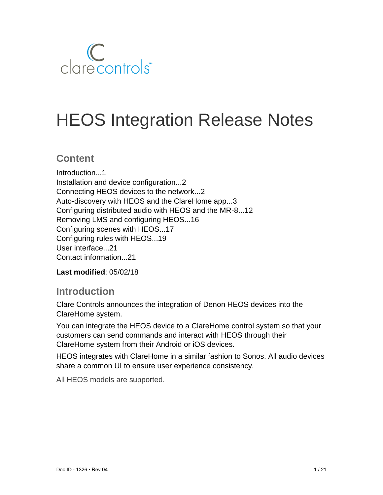

# HEOS Integration Release Notes

### **Content**

Introduction...1 Installation and device configuration...2 Connecting HEOS devices to the network...2 Auto-discovery with HEOS and the ClareHome app...3 Configuring distributed audio with HEOS and the MR-8...12 Removing LMS and configuring HEOS...16 Configuring scenes with HEOS...17 Configuring rules with HEOS...19 User interface...21 Contact information...21

**Last modified**: 05/02/18

## **Introduction**

Clare Controls announces the integration of Denon HEOS devices into the ClareHome system.

You can integrate the HEOS device to a ClareHome control system so that your customers can send commands and interact with HEOS through their ClareHome system from their Android or iOS devices.

HEOS integrates with ClareHome in a similar fashion to Sonos. All audio devices share a common UI to ensure user experience consistency.

All HEOS models are supported.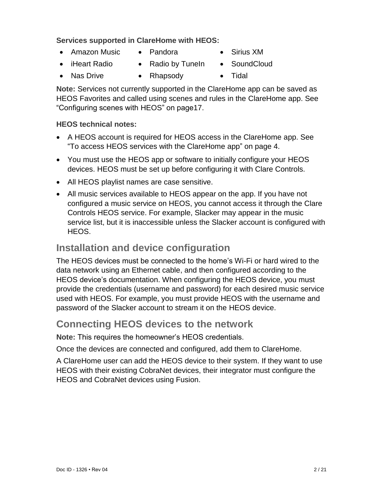#### **Services supported in ClareHome with HEOS:**

- Amazon Music
- Pandora
- iHeart Radio

• Nas Drive

• Radio by TuneIn

• Rhapsody

• Tidal

• Sirius XM • SoundCloud

**Note:** Services not currently supported in the ClareHome app can be saved as HEOS Favorites and called using scenes and rules in the ClareHome app. See "Configuring scenes with HEOS" on pag[e17.](#page-15-0)

#### **HEOS technical notes:**

- A HEOS account is required for HEOS access in the ClareHome app. See "To access HEOS services with the ClareHome app" on page [4.](#page-3-0)
- You must use the HEOS app or software to initially configure your HEOS devices. HEOS must be set up before configuring it with Clare Controls.
- All HEOS playlist names are case sensitive.
- All music services available to HEOS appear on the app. If you have not configured a music service on HEOS, you cannot access it through the Clare Controls HEOS service. For example, Slacker may appear in the music service list, but it is inaccessible unless the Slacker account is configured with HEOS.

## **Installation and device configuration**

The HEOS devices must be connected to the home's Wi-Fi or hard wired to the data network using an Ethernet cable, and then configured according to the HEOS device's documentation. When configuring the HEOS device, you must provide the credentials (username and password) for each desired music service used with HEOS. For example, you must provide HEOS with the username and password of the Slacker account to stream it on the HEOS device.

## **Connecting HEOS devices to the network**

**Note:** This requires the homeowner's HEOS credentials.

Once the devices are connected and configured, add them to ClareHome.

A ClareHome user can add the HEOS device to their system. If they want to use HEOS with their existing CobraNet devices, their integrator must configure the HEOS and CobraNet devices using Fusion.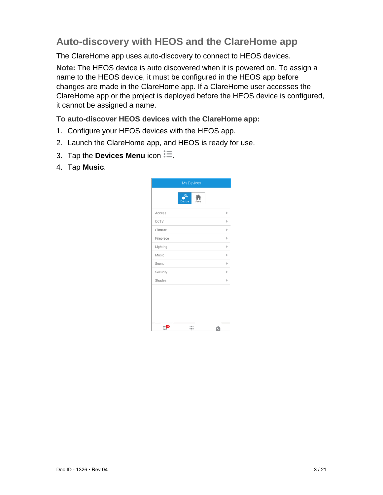# **Auto-discovery with HEOS and the ClareHome app**

The ClareHome app uses auto-discovery to connect to HEOS devices.

**Note:** The HEOS device is auto discovered when it is powered on. To assign a name to the HEOS device, it must be configured in the HEOS app before changes are made in the ClareHome app. If a ClareHome user accesses the ClareHome app or the project is deployed before the HEOS device is configured, it cannot be assigned a name.

**To auto-discover HEOS devices with the ClareHome app:** 

- 1. Configure your HEOS devices with the HEOS app.
- 2. Launch the ClareHome app, and HEOS is ready for use.
- 3. Tap the **Devices Menu** icon  $\ddot{=}$ .
- 4. Tap **Music**.

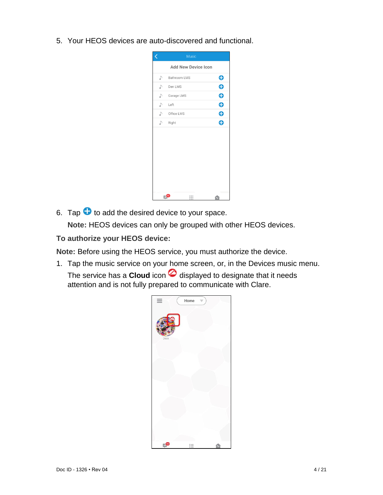5. Your HEOS devices are auto-discovered and functional.

| Ć  |                            | <b>Music</b> |           |
|----|----------------------------|--------------|-----------|
|    | <b>Add New Device Icon</b> |              |           |
| ♪  | Bathroom LMS               |              | $\bf{e}$  |
| L) | Den LMS                    |              | O         |
| ♪  | Garage LMS                 |              | O         |
| J) | Left                       |              | $\bf{O}$  |
| L) | Office LMS                 |              | $\bullet$ |
| J) | Right                      |              | Ô         |
|    |                            |              |           |
|    |                            |              |           |
|    |                            |              |           |
|    |                            |              |           |
|    |                            |              |           |
|    |                            |              |           |
|    |                            |              |           |
|    | E- <sup>10</sup>           | ∷            |           |

6. Tap  $\bullet$  to add the desired device to your space.

**Note:** HEOS devices can only be grouped with other HEOS devices.

<span id="page-3-0"></span>**To authorize your HEOS device:**

**Note:** Before using the HEOS service, you must authorize the device.

1. Tap the music service on your home screen, or, in the Devices music menu. The service has a **Cloud** icon  $\oslash$  displayed to designate that it needs attention and is not fully prepared to communicate with Clare.

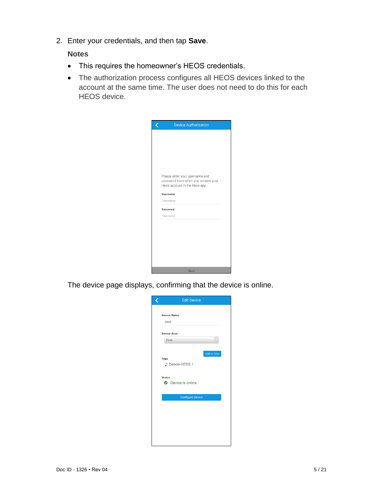2. Enter your credentials, and then tap **Save**.

#### **Notes**

- This requires the homeowner's HEOS credentials.
- The authorization process configures all HEOS devices linked to the account at the same time. The user does not need to do this for each HEOS device.

| <b>Device Authorization</b>                                                                            |  |
|--------------------------------------------------------------------------------------------------------|--|
|                                                                                                        |  |
|                                                                                                        |  |
|                                                                                                        |  |
|                                                                                                        |  |
|                                                                                                        |  |
| Please enter your username and<br>password from when you created your<br>Heos account in the Heos app. |  |
| Username                                                                                               |  |
| Username                                                                                               |  |
| Password                                                                                               |  |
| Password                                                                                               |  |
|                                                                                                        |  |
|                                                                                                        |  |
|                                                                                                        |  |
|                                                                                                        |  |
|                                                                                                        |  |
|                                                                                                        |  |
| Save                                                                                                   |  |

The device page displays, confirming that the device is online.

| <b>Edit Device</b>                                                                  |
|-------------------------------------------------------------------------------------|
| <b>Device Name</b><br>Desk                                                          |
| <b>Device Area</b>                                                                  |
| Desk                                                                                |
| Add an Area<br>Type<br>♪ Denon-HEOS 1<br><b>Status</b><br><b>O</b> Device is online |
| <b>Configure Device</b>                                                             |
|                                                                                     |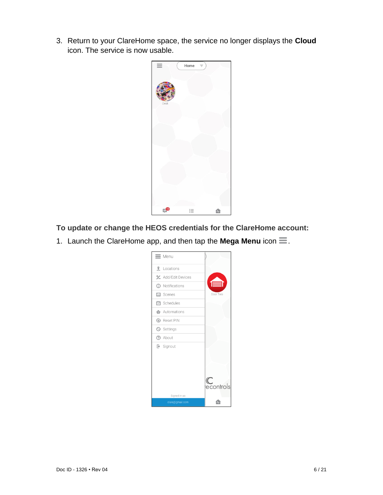3. Return to your ClareHome space, the service no longer displays the **Cloud** icon. The service is now usable.



**To update or change the HEOS credentials for the ClareHome account:** 

1. Launch the ClareHome app, and then tap the Mega Menu icon  $\equiv$ .

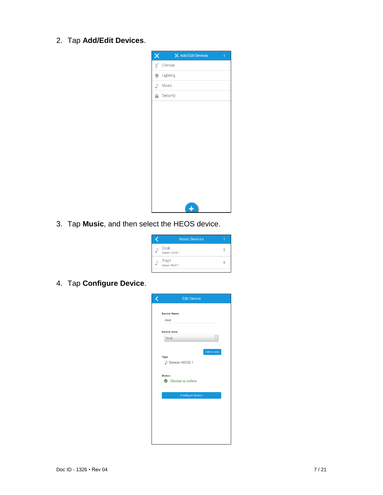2. Tap **Add/Edit Devices**.

| ×                | <b>½</b> Add/Edit Devices<br>ł |
|------------------|--------------------------------|
| $\text{B}^\circ$ | Climate                        |
| 渝                | Lighting                       |
| ♪                | Music                          |
| θ                | Security                       |
|                  |                                |
|                  |                                |
|                  |                                |
|                  |                                |
|                  |                                |
|                  |                                |
|                  |                                |
|                  |                                |
|                  |                                |
|                  | ц                              |

3. Tap **Music**, and then select the HEOS device.

| <b>Music Devices</b>    |  |
|-------------------------|--|
| Desk<br>Denon / HEOS 1  |  |
| Play1<br>Sonos / PLAY:1 |  |

4. Tap **Configure Device**.

| <b>Edit Device</b>        |             |
|---------------------------|-------------|
| <b>Device Name</b>        |             |
| Desk                      |             |
|                           |             |
| <b>Device Area</b>        |             |
| Desk                      |             |
|                           |             |
|                           | Add an Area |
| Type<br>♪ Denon-HEOS 1    |             |
|                           |             |
| <b>Status</b>             |             |
| <b>O</b> Device is online |             |
|                           |             |
| <b>Configure Device</b>   |             |
|                           |             |
|                           |             |
|                           |             |
|                           |             |
|                           |             |
|                           |             |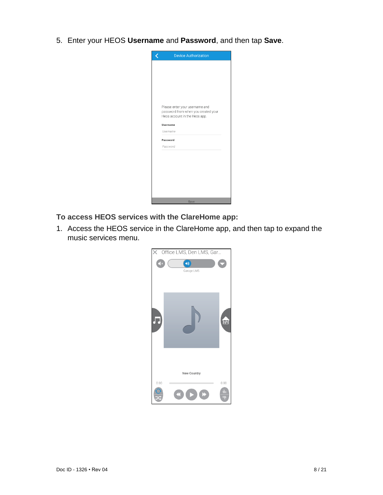5. Enter your HEOS **Username** and **Password**, and then tap **Save**.



- **To access HEOS services with the ClareHome app:**
- 1. Access the HEOS service in the ClareHome app, and then tap to expand the music services menu.

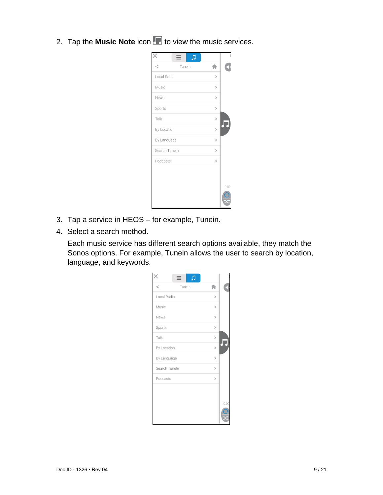2. Tap the **Music Note** icon **the** *to* view the music services.

|                 | л |               |      |
|-----------------|---|---------------|------|
| $\,<$<br>Tuneln |   |               |      |
| Local Radio     |   | >             |      |
| Music           |   | $\,>\,$       |      |
| News            |   | $\,>\,$       |      |
| Sports          |   | $\mathcal{P}$ |      |
| Talk            |   | $\,>\,$       |      |
| By Location     |   | $\,>\,$       |      |
| By Language     |   | $\mathbf{L}$  |      |
| Search Tuneln   |   | $\,>\,$       |      |
| Podcasts        |   | $\,>\,$       |      |
|                 |   |               |      |
|                 |   |               | 0:00 |
|                 |   |               |      |

- 3. Tap a service in HEOS for example, Tunein.
- 4. Select a search method.

Each music service has different search options available, they match the Sonos options. For example, Tunein allows the user to search by location, language, and keywords.

| Л<br>≡                   |               |      |
|--------------------------|---------------|------|
| $\overline{a}$<br>Tuneln |               |      |
| Local Radio              | ⋋             |      |
| Music                    | $\,>\,$       |      |
| News                     | $\mathbf{L}$  |      |
| Sports                   | $\mathcal{P}$ |      |
| Talk                     | $\mathcal{P}$ |      |
| By Location              | $\mathcal{P}$ |      |
| By Language              | $\,>\,$       |      |
| Search Tuneln            | $\mathcal{P}$ |      |
| Podcasts                 | $\mathbf{r}$  |      |
|                          |               |      |
|                          |               |      |
|                          |               | 0:00 |
|                          |               |      |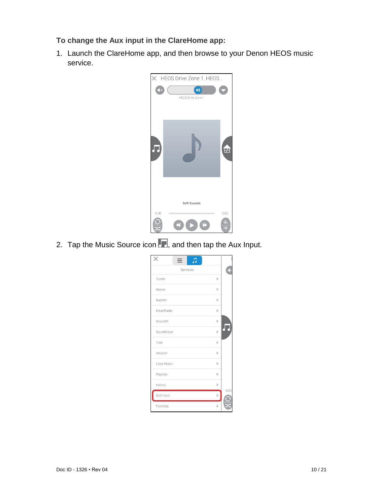**To change the Aux input in the ClareHome app:** 

1. Launch the ClareHome app, and then browse to your Denon HEOS music service.



2. Tap the Music Source icon **Follow**, and then tap the Aux Input.

| $\equiv$<br>Л |               |      |
|---------------|---------------|------|
| Services      |               |      |
| Tuneln        | $\mathbf{L}$  |      |
| Deezer        | $\mathcal{P}$ |      |
| Napster       | ↘             |      |
| iHeartRadio   | $\mathbf{L}$  |      |
| SiriusXM      | $\mathbf{L}$  |      |
| SoundCloud    | $\mathbf{L}$  |      |
| Tidal         | ⋋             |      |
| Amazon        | ↘             |      |
| Local Music   | ⋋             |      |
| Playlists     | $\mathcal{P}$ |      |
| History       | ↘             |      |
| AUX Input     |               | 0:00 |
| Favorites     | 5             |      |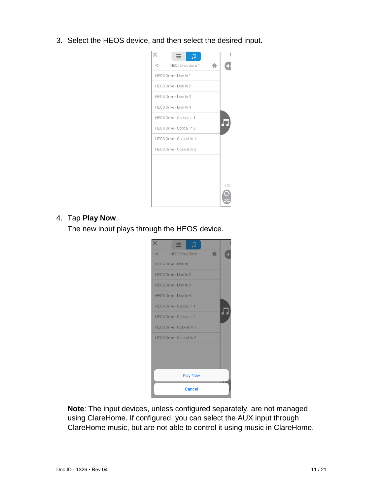3. Select the HEOS device, and then select the desired input.



#### 4. Tap **Play Now**.

The new input plays through the HEOS device.



**Note**: The input devices, unless configured separately, are not managed using ClareHome. If configured, you can select the AUX input through ClareHome music, but are not able to control it using music in ClareHome.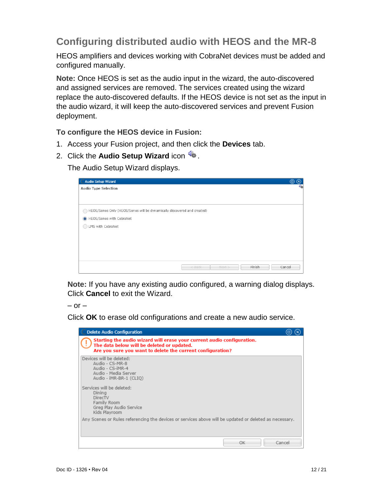# **Configuring distributed audio with HEOS and the MR-8**

HEOS amplifiers and devices working with CobraNet devices must be added and configured manually.

**Note:** Once HEOS is set as the audio input in the wizard, the auto-discovered and assigned services are removed. The services created using the wizard replace the auto-discovered defaults. If the HEOS device is not set as the input in the audio wizard, it will keep the auto-discovered services and prevent Fusion deployment.

**To configure the HEOS device in Fusion:**

- 1. Access your Fusion project, and then click the **Devices** tab.
- 2. Click the **Audio Setup Wizard** icon

The Audio Setup Wizard displays.

| <b>Audio Setup Wizard</b>                                                 | ⋒<br>⊗ |
|---------------------------------------------------------------------------|--------|
| <b>Audio Type Selection</b>                                               | €      |
|                                                                           |        |
|                                                                           |        |
| A HEOS/Sonos Only (HEOS/Sonos will be dynamically discovered and created) |        |
| HEOS/Sonos with CobraNet                                                  |        |
| LMS with CobraNet                                                         |        |
|                                                                           |        |
|                                                                           |        |
|                                                                           |        |
|                                                                           |        |
| $<$ Back<br>Next<br>Finish<br>Cancel                                      |        |
|                                                                           |        |

**Note:** If you have any existing audio configured, a warning dialog displays. Click **Cancel** to exit the Wizard.

 $-$  or  $-$ 

Click **OK** to erase old configurations and create a new audio service.

| <b>Delete Audio Configuration</b>                                                                                                                                                  |  |
|------------------------------------------------------------------------------------------------------------------------------------------------------------------------------------|--|
| Starting the audio wizard will erase your current audio configuration.<br>The data below will be deleted or updated.<br>Are you sure you want to delete the current configuration? |  |
| Devices will be deleted:<br>Audio - CS-MR-8<br>Audio - CS-iMR-4<br>Audio - Media Server<br>Audio - iMR-BR-1 (CLIO)                                                                 |  |
| Services will be deleted:<br>Dining<br>DirecTV<br>Family Room<br>Greg Play Audio Service<br>Kids Playroom                                                                          |  |
| Any Scenes or Rules referencing the devices or services above will be updated or deleted as necessary.                                                                             |  |
| OK<br>Cancel                                                                                                                                                                       |  |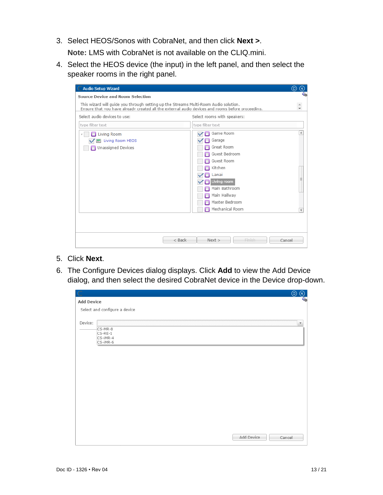- 3. Select HEOS/Sonos with CobraNet, and then click **Next >**. **Note:** LMS with CobraNet is not available on the CLIQ.mini.
- 4. Select the HEOS device (the input) in the left panel, and then select the speaker rooms in the right panel.

| <b>Audio Setup Wizard</b>                                                            |                                                                                                                                                                           | (ロ)<br>$[\mathsf{x}]$             |
|--------------------------------------------------------------------------------------|---------------------------------------------------------------------------------------------------------------------------------------------------------------------------|-----------------------------------|
| Source Device and Room Selection                                                     |                                                                                                                                                                           |                                   |
| This wizard will quide you through setting up the Streams Multi-Room Audio solution. | Ensure that you have already created all the external audio devices and rooms before proceeding.                                                                          |                                   |
| Select audio devices to use:                                                         | Select rooms with speakers:                                                                                                                                               |                                   |
| type filter text                                                                     | type filter text                                                                                                                                                          |                                   |
| <b>Living Room</b><br>4<br>Living Room HEOS<br>Unassigned Devices                    | Game Room<br>Garage<br>Great Room<br>Guest Bedroom<br>Guest Room<br>Kitchen<br>Lanai<br>Living room<br>Main Bathroom<br>Main Hallway<br>Master Bedroom<br>Mechanical Room | ▲<br>Ξ<br>$\overline{\mathbf{v}}$ |
|                                                                                      | $<$ Back<br>Next<br><b>Finish</b>                                                                                                                                         | Cancel                            |

- 5. Click **Next**.
- 6. The Configure Devices dialog displays. Click **Add** to view the Add Device dialog, and then select the desired CobraNet device in the Device drop-down.

|                   |                               | $\odot$ | $^{\circledR}$          |
|-------------------|-------------------------------|---------|-------------------------|
| <b>Add Device</b> |                               |         | 4                       |
|                   | Select and configure a device |         |                         |
|                   |                               |         |                         |
| Device:           |                               |         | $\overline{\mathbf{v}}$ |
|                   | CS-MR-8<br>$CS$ -RE-1         |         |                         |
|                   | CS-IMR-4                      |         |                         |
|                   | CS-IMR-6                      |         |                         |
|                   |                               |         |                         |
|                   |                               |         |                         |
|                   |                               |         |                         |
|                   |                               |         |                         |
|                   |                               |         |                         |
|                   |                               |         |                         |
|                   |                               |         |                         |
|                   |                               |         |                         |
|                   |                               |         |                         |
|                   |                               |         |                         |
|                   |                               |         |                         |
|                   |                               |         |                         |
|                   | Add Device                    | Cancel  |                         |
|                   |                               |         |                         |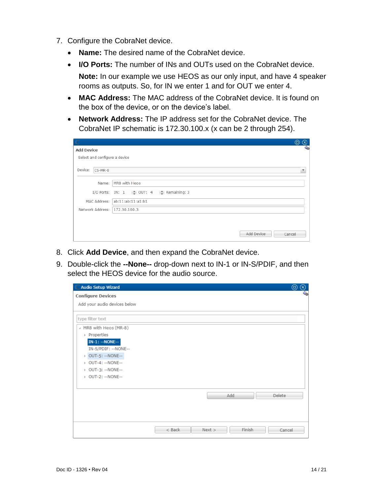- 7. Configure the CobraNet device.
	- **Name:** The desired name of the CobraNet device.
	- **I/O Ports:** The number of INs and OUTs used on the CobraNet device. **Note:** In our example we use HEOS as our only input, and have 4 speaker rooms as outputs. So, for IN we enter 1 and for OUT we enter 4.
	- **MAC Address:** The MAC address of the CobraNet device. It is found on the box of the device, or on the device's label.
	- **Network Address:** The IP address set for the CobraNet device. The CobraNet IP schematic is 172.30.100.x (x can be 2 through 254).

|                               |                                                                  | (□ | $\infty$                |
|-------------------------------|------------------------------------------------------------------|----|-------------------------|
| <b>Add Device</b>             |                                                                  |    | <b>Time</b>             |
| Select and configure a device |                                                                  |    |                         |
| Device: CS-MR-8               |                                                                  |    | $\overline{\mathbf{v}}$ |
|                               | Name:   MR8 with Heos                                            |    |                         |
|                               | I/O Ports: IN: 1 $\frac{4}{9}$ OUT: 4 $\frac{4}{9}$ Remaining: 3 |    |                         |
|                               | MAC Address: ab:11:ab:11:a1:b1                                   |    |                         |
| Network Address: 172.30.100.3 |                                                                  |    |                         |
|                               |                                                                  |    |                         |
|                               | Add Device<br>Cancel                                             |    |                         |

- 8. Click **Add Device**, and then expand the CobraNet device.
- 9. Double-click the **--None--** drop-down next to IN-1 or IN-S/PDIF, and then select the HEOS device for the audio source.

| <b>Audio Setup Wizard</b><br>$\mathbb{C}$ |          |      |        |        | $^{\circ}$<br>$^\circledR$ |
|-------------------------------------------|----------|------|--------|--------|----------------------------|
| <b>Configure Devices</b>                  |          |      |        |        | વસે                        |
| Add your audio devices below              |          |      |        |        |                            |
|                                           |          |      |        |        |                            |
| type filter text                          |          |      |        |        |                            |
| A MR8 with Heos (MR-8)                    |          |      |        |        |                            |
| ▶ Properties                              |          |      |        |        |                            |
| $IN-1: -NONE--$                           |          |      |        |        |                            |
| IN-S/PDIF: -- NONE--                      |          |      |        |        |                            |
| OUT-5: -- NONE--                          |          |      |        |        |                            |
| > OUT-4: -- NONE--                        |          |      |        |        |                            |
| > OUT-3: -- NONE--                        |          |      |        |        |                            |
| ▶ OUT-2: -- NONE--                        |          |      |        |        |                            |
|                                           |          |      |        |        |                            |
|                                           |          |      | Add    | Delete |                            |
|                                           |          |      |        |        |                            |
|                                           |          |      |        |        |                            |
|                                           |          |      |        |        |                            |
|                                           |          |      |        |        |                            |
|                                           | $<$ Back | Next | Finish | Cancel |                            |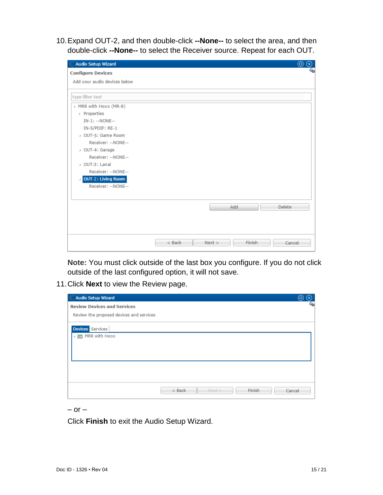10.Expand OUT-2, and then double-click **--None--** to select the area, and then double-click **--None--** to select the Receiver source. Repeat for each OUT.

| C Audio Setup Wizard                       |          |      |        | $^{\circ}$<br>$(\mathsf{x})$ |
|--------------------------------------------|----------|------|--------|------------------------------|
| <b>Configure Devices</b>                   |          |      |        | 4.                           |
| Add your audio devices below               |          |      |        |                              |
|                                            |          |      |        |                              |
| type filter text                           |          |      |        |                              |
| A MR8 with Heos (MR-8)                     |          |      |        |                              |
| ▶ Properties                               |          |      |        |                              |
| IN-1: -- NONE--                            |          |      |        |                              |
| IN-S/PDIF: RE-1                            |          |      |        |                              |
| 4 OUT-5: Game Room                         |          |      |        |                              |
| Receiver: --NONE--                         |          |      |        |                              |
| △ OUT-4: Garage                            |          |      |        |                              |
| Receiver: --NONE--                         |          |      |        |                              |
| △ OUT-3: Lanai                             |          |      |        |                              |
| Receiver: -- NONE--                        |          |      |        |                              |
| <b>OUT-2: Living Room</b><br>$\mathcal{A}$ |          |      |        |                              |
| Receiver: --NONE--                         |          |      |        |                              |
|                                            |          |      |        |                              |
|                                            |          |      |        |                              |
|                                            |          |      | Add    | Delete                       |
|                                            |          |      |        |                              |
|                                            |          |      |        |                              |
|                                            |          |      |        |                              |
|                                            |          |      |        |                              |
|                                            | $<$ Back | Next | Finish | Cancel                       |

**Note:** You must click outside of the last box you configure. If you do not click outside of the last configured option, it will not save.

11.Click **Next** to view the Review page.

| C Audio Setup Wizard                     | (ロ)              |
|------------------------------------------|------------------|
| <b>Review Devices and Services</b>       | ٩æ               |
| Review the proposed devices and services |                  |
| <b>Devices</b> Services                  |                  |
| ▶ ■ MR8 with Heos                        |                  |
|                                          |                  |
|                                          |                  |
|                                          |                  |
|                                          |                  |
| $<$ Back<br>Next >                       | Finish<br>Cancel |

 $-$  or  $-$ 

Click **Finish** to exit the Audio Setup Wizard.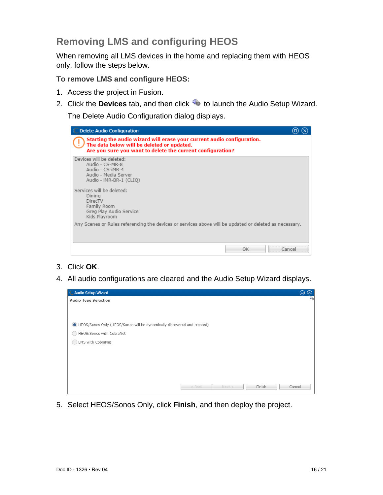# **Removing LMS and configuring HEOS**

When removing all LMS devices in the home and replacing them with HEOS only, follow the steps below.

**To remove LMS and configure HEOS:** 

- 1. Access the project in Fusion.
- 2. Click the **Devices** tab, and then click **the figure 10 aunch the Audio Setup Wizard.**

The Delete Audio Configuration dialog displays.

| <b>Delete Audio Configuration</b>                                                                                                                                                  |        |
|------------------------------------------------------------------------------------------------------------------------------------------------------------------------------------|--------|
| Starting the audio wizard will erase your current audio configuration.<br>The data below will be deleted or updated.<br>Are you sure you want to delete the current configuration? |        |
| Devices will be deleted:<br>Audio - CS-MR-8<br>Audio - CS-iMR-4<br>Audio - Media Server<br>Audio - iMR-BR-1 (CLIQ)                                                                 |        |
| Services will be deleted:<br>Dining<br>DirecTV<br>Family Room<br>Greg Play Audio Service<br>Kids Playroom                                                                          |        |
| Any Scenes or Rules referencing the devices or services above will be updated or deleted as necessary.                                                                             |        |
| OK                                                                                                                                                                                 | Cancel |

- 3. Click **OK**.
- 4. All audio configurations are cleared and the Audio Setup Wizard displays.

| C Audio Setup Wizard                                                    |          |      |        | $\left(\times\right)$<br>(□) |
|-------------------------------------------------------------------------|----------|------|--------|------------------------------|
| <b>Audio Type Selection</b>                                             |          |      |        | €                            |
|                                                                         |          |      |        |                              |
|                                                                         |          |      |        |                              |
| HEOS/Sonos Only (HEOS/Sonos will be dynamically discovered and created) |          |      |        |                              |
| HEOS/Sonos with CobraNet                                                |          |      |        |                              |
| LMS with CobraNet                                                       |          |      |        |                              |
|                                                                         |          |      |        |                              |
|                                                                         |          |      |        |                              |
|                                                                         |          |      |        |                              |
|                                                                         |          |      |        |                              |
|                                                                         | $<$ Back | Next | Finish | Cancel                       |

<span id="page-15-0"></span>5. Select HEOS/Sonos Only, click **Finish**, and then deploy the project.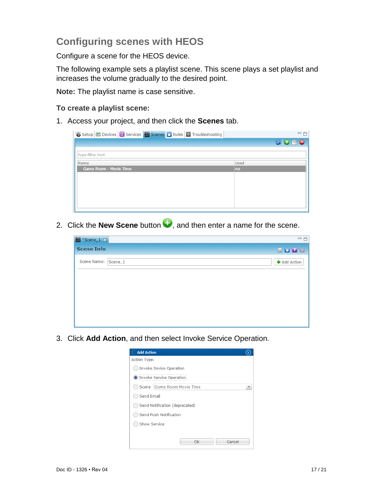# **Configuring scenes with HEOS**

Configure a scene for the HEOS device.

The following example sets a playlist scene. This scene plays a set playlist and increases the volume gradually to the desired point.

**Note:** The playlist name is case sensitive.

#### **To create a playlist scene:**

1. Access your project, and then click the **Scenes** tab.

|                        | $=$ $F$                                                                                                                                                                                                                                                                                                                                             |
|------------------------|-----------------------------------------------------------------------------------------------------------------------------------------------------------------------------------------------------------------------------------------------------------------------------------------------------------------------------------------------------|
|                        | $\begin{picture}(16,15) \put(0,0){\line(1,0){15}} \put(10,0){\line(1,0){15}} \put(10,0){\line(1,0){15}} \put(10,0){\line(1,0){15}} \put(10,0){\line(1,0){15}} \put(10,0){\line(1,0){15}} \put(10,0){\line(1,0){15}} \put(10,0){\line(1,0){15}} \put(10,0){\line(1,0){15}} \put(10,0){\line(1,0){15}} \put(10,0){\line(1,0){15}} \put(10,0){\line(1$ |
| type filter text       |                                                                                                                                                                                                                                                                                                                                                     |
| Name                   | Used                                                                                                                                                                                                                                                                                                                                                |
| Game Room - Movie Time | no                                                                                                                                                                                                                                                                                                                                                  |
|                        |                                                                                                                                                                                                                                                                                                                                                     |
|                        |                                                                                                                                                                                                                                                                                                                                                     |
|                        |                                                                                                                                                                                                                                                                                                                                                     |
|                        |                                                                                                                                                                                                                                                                                                                                                     |
|                        |                                                                                                                                                                                                                                                                                                                                                     |
|                        |                                                                                                                                                                                                                                                                                                                                                     |

2. Click the **New Scene** button **D**, and then enter a name for the scene.

| ₩ *Scene_1 X        | $=$ $E$             |
|---------------------|---------------------|
| <b>Scene Info</b>   | 園園チロ                |
| Scene Name: Scene_1 | <b>+</b> Add Action |
|                     |                     |
|                     |                     |
|                     |                     |
|                     |                     |
|                     |                     |

3. Click **Add Action**, and then select Invoke Service Operation.

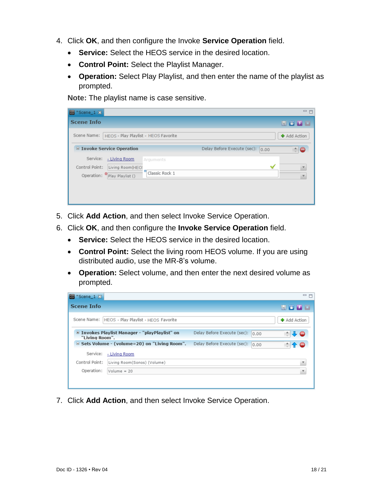- 4. Click **OK**, and then configure the Invoke **Service Operation** field.
	- **Service:** Select the HEOS service in the desired location.
	- **Control Point:** Select the Playlist Manager.
	- **Operation:** Select Play Playlist, and then enter the name of the playlist as prompted.

**Note:** The playlist name is case sensitive.

| Scene_1 X                                                                                                                                       | $=$ $F$                               |
|-------------------------------------------------------------------------------------------------------------------------------------------------|---------------------------------------|
| <b>Scene Info</b>                                                                                                                               | 開画チロ                                  |
| Scene Name:<br>HEOS - Play Playlist - HEOS Favorite                                                                                             | <b>+</b> Add Action                   |
| $\Box$ Invoke Service Operation                                                                                                                 | Delay Before Execute (sec): 0.00<br>e |
| Service:<br>- Living Room<br>Arguments<br>Control Point:<br>Living Room(HEO)<br>m<br>Classic Rock 1<br>Operation: <sup>0</sup> Play Playlist () |                                       |

- 5. Click **Add Action**, and then select Invoke Service Operation.
- 6. Click **OK**, and then configure the **Invoke Service Operation** field.
	- **Service:** Select the HEOS service in the desired location.
	- **Control Point:** Select the living room HEOS volume. If you are using distributed audio, use the MR-8's volume.
	- **Operation:** Select volume, and then enter the next desired volume as prompted.



7. Click **Add Action**, and then select Invoke Service Operation.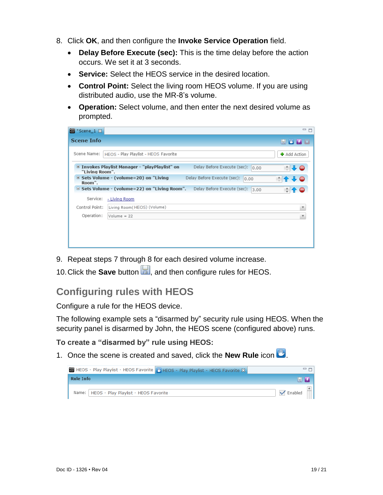- 8. Click **OK**, and then configure the **Invoke Service Operation** field.
	- **Delay Before Execute (sec):** This is the time delay before the action occurs. We set it at 3 seconds.
	- **Service:** Select the HEOS service in the desired location.
	- **Control Point:** Select the living room HEOS volume. If you are using distributed audio, use the MR-8's volume.
	- **Operation:** Select volume, and then enter the next desired volume as prompted.

| ■ *Scene_1 双      |                                                                                             | 三日                  |
|-------------------|---------------------------------------------------------------------------------------------|---------------------|
| <b>Scene Info</b> |                                                                                             | <b>REP 3</b>        |
| Scene Name:       | HEOS - Play Playlist - HEOS Favorite                                                        | <b>+</b> Add Action |
| "Living Room".    | Invokes Playlist Manager - "playPlaylist" on<br>Delay Before Execute (sec):<br>0.00         | $-1$<br>٥I          |
| Room".            | $\equiv$ Sets Volume - (volume=20) on "Living<br>Delay Before Execute (sec):<br>0.00        | 全事●                 |
|                   | $\equiv$ Sets Volume - (volume=22) on "Living Room".<br>Delay Before Execute (sec):<br>3.00 | ÷                   |
| Service:          | - Living Room                                                                               |                     |
| Control Point:    | Living Room (HEOS) (Volume)                                                                 |                     |
| Operation:        | $Volume = 22$                                                                               |                     |
|                   |                                                                                             |                     |
|                   |                                                                                             |                     |
|                   |                                                                                             |                     |

- 9. Repeat steps 7 through 8 for each desired volume increase.
- 10. Click the **Save** button **b**, and then configure rules for HEOS.

## **Configuring rules with HEOS**

Configure a rule for the HEOS device.

The following example sets a "disarmed by" security rule using HEOS. When the security panel is disarmed by John, the HEOS scene (configured above) runs.

**To create a "disarmed by" rule using HEOS:** 

1. Once the scene is created and saved, click the **New Rule** icon ...

| HEOS - Play Playlist - HEOS Favorite   HEOS - Play Playlist - HEOS Favorite X | $=$ $=$             |
|-------------------------------------------------------------------------------|---------------------|
| <b>Rule Info</b>                                                              | <b>BLE</b>          |
| Name:   HEOS - Play Playlist - HEOS Favorite                                  | $\sqrt{\ }$ Enabled |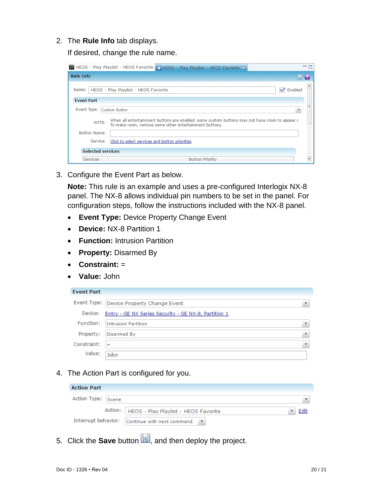2. The **Rule Info** tab displays.

If desired, change the rule name.

| HEOS - Play Playlist - HEOS Favorite   HEOS - Play Playlist - HEOS Favorite X                                                                                    | 三日 |  |  |  |  |
|------------------------------------------------------------------------------------------------------------------------------------------------------------------|----|--|--|--|--|
| <b>Rule Info</b><br>$\mathbb{R}$ $\mathbb{R}$                                                                                                                    |    |  |  |  |  |
| HEOS - Play Playlist - HEOS Favorite<br>Enabled<br>Name:                                                                                                         |    |  |  |  |  |
| <b>Event Part</b>                                                                                                                                                |    |  |  |  |  |
| Event Type: Custom Button                                                                                                                                        |    |  |  |  |  |
| When all entertainment buttons are enabled, some custom buttons may not have room to appear c<br>NOTE:<br>To make room, remove some other entertainment buttons. |    |  |  |  |  |
| Button Name:                                                                                                                                                     |    |  |  |  |  |
| Click to select services and button priorities<br>Service:                                                                                                       |    |  |  |  |  |
| <b>Selected services</b>                                                                                                                                         |    |  |  |  |  |
| Services<br><b>Button Priority</b>                                                                                                                               |    |  |  |  |  |

3. Configure the Event Part as below.

**Note:** This rule is an example and uses a pre-configured Interlogix NX-8 panel. The NX-8 allows individual pin numbers to be set in the panel. For configuration steps, follow the instructions included with the NX-8 panel.

- **Event Type:** Device Property Change Event
- **Device:** NX-8 Partition 1
- **Function:** Intrusion Partition
- **Property:** Disarmed By
- **Constraint:** =
- **Value:** John

| <b>Event Part</b> |
|-------------------|
|-------------------|

|             | Event Type: Device Property Change Event<br>▼                |  |
|-------------|--------------------------------------------------------------|--|
|             | Device: Entry - GE NX Series Security - GE NX-8, Partition 1 |  |
| Function:   | Intrusion Partition<br>▼                                     |  |
| Property:   | Disarmed By<br>$\overline{\mathbf{v}}$                       |  |
| Constraint: | $\mathcal{W}$ .<br>$=$                                       |  |
| Value:      | John                                                         |  |
|             |                                                              |  |

4. The Action Part is configured for you.

| <b>Action Part</b> |                                                                                 |  |
|--------------------|---------------------------------------------------------------------------------|--|
| Action Type: Scene |                                                                                 |  |
|                    | Action:   HEOS - Play Playlist - HEOS Favorite                                  |  |
|                    | Interrupt behavior: $\vert$ Continue with next command $\vert \mathbf{v} \vert$ |  |

5. Click the **Save** button **b**, and then deploy the project.